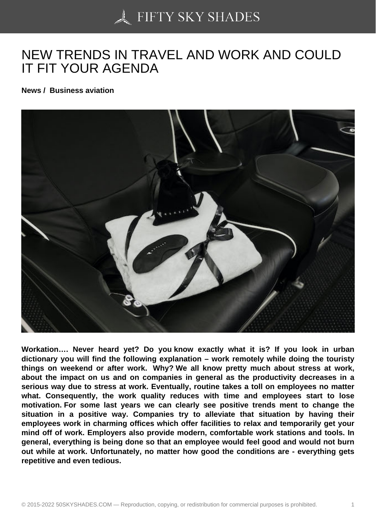## [NEW TRENDS IN TRA](https://50skyshades.com)VEL AND WORK AND COULD IT FIT YOUR AGENDA

News / Business aviation

Workation…. Never heard yet? Do you know exactly what it is? If you look in urban dictionary you will find the following explanation – work remotely while doing the touristy things on weekend or after work. Why? We all know pretty much about stress at work, about the impact on us and on companies in general as the productivity decreases in a serious way due to stress at work. Eventually, routine takes a toll on employees no matter what. Consequently, the work quality reduces with time and employees start to lose motivation. For some last years we can clearly see positive trends ment to change the situation in a positive way. Companies try to alleviate that situation by having their employees work in charming offices which offer facilities to relax and temporarily get your mind off of work. Employers also provide modern, comfortable work stations and tools. In general, everything is being done so that an employee would feel good and would not burn out while at work. Unfortunately, no matter how good the conditions are - everything gets repetitive and even tedious.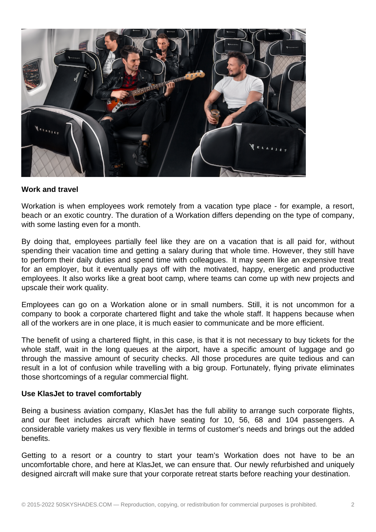

## **Work and travel**

Workation is when employees work remotely from a vacation type place - for example, a resort, beach or an exotic country. The duration of a Workation differs depending on the type of company, with some lasting even for a month.

By doing that, employees partially feel like they are on a vacation that is all paid for, without spending their vacation time and getting a salary during that whole time. However, they still have to perform their daily duties and spend time with colleagues. It may seem like an expensive treat for an employer, but it eventually pays off with the motivated, happy, energetic and productive employees. It also works like a great boot camp, where teams can come up with new projects and upscale their work quality.

Employees can go on a Workation alone or in small numbers. Still, it is not uncommon for a company to book a corporate chartered flight and take the whole staff. It happens because when all of the workers are in one place, it is much easier to communicate and be more efficient.

The benefit of using a chartered flight, in this case, is that it is not necessary to buy tickets for the whole staff, wait in the long queues at the airport, have a specific amount of luggage and go through the massive amount of security checks. All those procedures are quite tedious and can result in a lot of confusion while travelling with a big group. Fortunately, flying private eliminates those shortcomings of a regular commercial flight.

## **Use KlasJet to travel comfortably**

Being a business aviation company, KlasJet has the full ability to arrange such corporate flights, and our fleet includes aircraft which have seating for 10, 56, 68 and 104 passengers. A considerable variety makes us very flexible in terms of customer's needs and brings out the added benefits.

Getting to a resort or a country to start your team's Workation does not have to be an uncomfortable chore, and here at KlasJet, we can ensure that. Our newly refurbished and uniquely designed aircraft will make sure that your corporate retreat starts before reaching your destination.